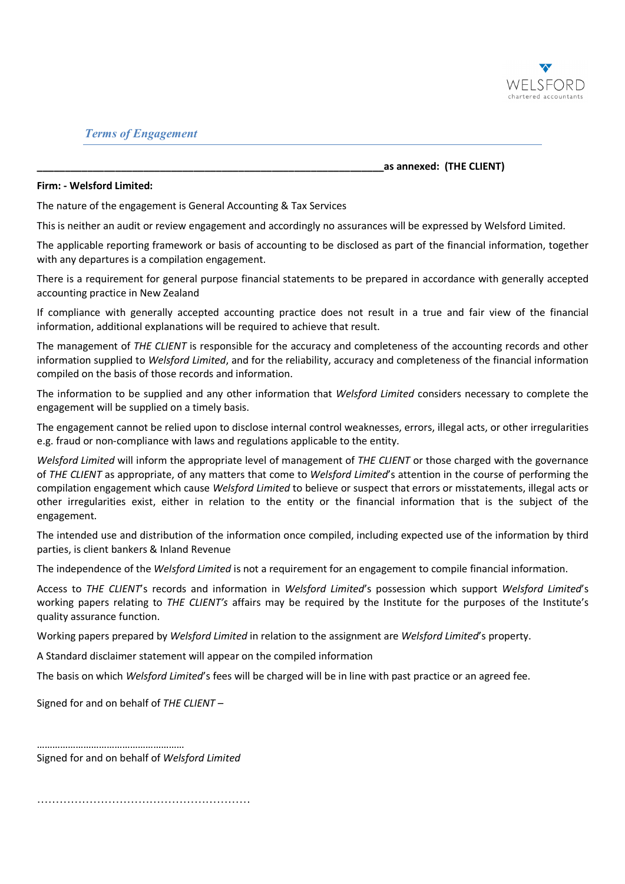

## *Terms of Engagement*

**\_\_\_\_\_\_\_\_\_\_\_\_\_\_\_\_\_\_\_\_\_\_\_\_\_\_\_\_\_\_\_\_\_\_\_\_\_\_\_\_\_\_\_\_\_\_\_\_\_\_\_\_\_\_\_\_\_\_\_\_\_\_as annexed: (THE CLIENT)** 

## **Firm: - Welsford Limited:**

The nature of the engagement is General Accounting & Tax Services

This is neither an audit or review engagement and accordingly no assurances will be expressed by Welsford Limited.

The applicable reporting framework or basis of accounting to be disclosed as part of the financial information, together with any departures is a compilation engagement.

There is a requirement for general purpose financial statements to be prepared in accordance with generally accepted accounting practice in New Zealand

If compliance with generally accepted accounting practice does not result in a true and fair view of the financial information, additional explanations will be required to achieve that result.

The management of *THE CLIENT* is responsible for the accuracy and completeness of the accounting records and other information supplied to *Welsford Limited*, and for the reliability, accuracy and completeness of the financial information compiled on the basis of those records and information.

The information to be supplied and any other information that *Welsford Limited* considers necessary to complete the engagement will be supplied on a timely basis.

The engagement cannot be relied upon to disclose internal control weaknesses, errors, illegal acts, or other irregularities e.g. fraud or non-compliance with laws and regulations applicable to the entity.

*Welsford Limited* will inform the appropriate level of management of *THE CLIENT* or those charged with the governance of *THE CLIENT* as appropriate, of any matters that come to *Welsford Limited*'s attention in the course of performing the compilation engagement which cause *Welsford Limited* to believe or suspect that errors or misstatements, illegal acts or other irregularities exist, either in relation to the entity or the financial information that is the subject of the engagement.

The intended use and distribution of the information once compiled, including expected use of the information by third parties, is client bankers & Inland Revenue

The independence of the *Welsford Limited* is not a requirement for an engagement to compile financial information.

Access to *THE CLIENT*'s records and information in *Welsford Limited*'s possession which support *Welsford Limited*'s working papers relating to *THE CLIENT's* affairs may be required by the Institute for the purposes of the Institute's quality assurance function.

Working papers prepared by *Welsford Limited* in relation to the assignment are *Welsford Limited*'s property.

A Standard disclaimer statement will appear on the compiled information

The basis on which *Welsford Limited*'s fees will be charged will be in line with past practice or an agreed fee.

Signed for and on behalf of *THE CLIENT –* 

………………………………………………… Signed for and on behalf of *Welsford Limited*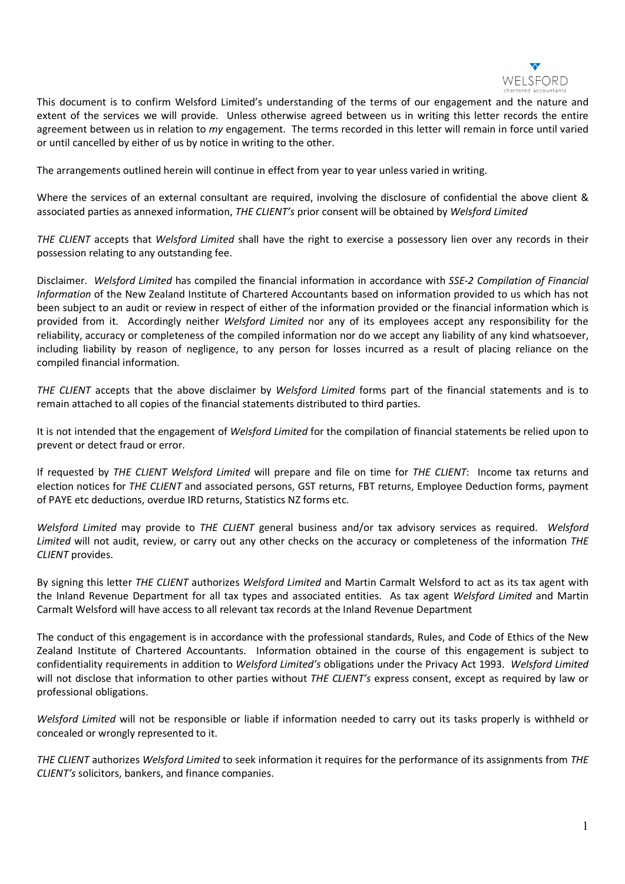

This document is to confirm Welsford Limited's understanding of the terms of our engagement and the nature and extent of the services we will provide. Unless otherwise agreed between us in writing this letter records the entire agreement between us in relation to *my* engagement. The terms recorded in this letter will remain in force until varied or until cancelled by either of us by notice in writing to the other.

The arrangements outlined herein will continue in effect from year to year unless varied in writing.

Where the services of an external consultant are required, involving the disclosure of confidential the above client & associated parties as annexed information, *THE CLIENT's* prior consent will be obtained by *Welsford Limited* 

*THE CLIENT* accepts that *Welsford Limited* shall have the right to exercise a possessory lien over any records in their possession relating to any outstanding fee.

Disclaimer. *Welsford Limited* has compiled the financial information in accordance with *SSE-2 Compilation of Financial Information* of the New Zealand Institute of Chartered Accountants based on information provided to us which has not been subject to an audit or review in respect of either of the information provided or the financial information which is provided from it. Accordingly neither *Welsford Limited* nor any of its employees accept any responsibility for the reliability, accuracy or completeness of the compiled information nor do we accept any liability of any kind whatsoever, including liability by reason of negligence, to any person for losses incurred as a result of placing reliance on the compiled financial information.

*THE CLIENT* accepts that the above disclaimer by *Welsford Limited* forms part of the financial statements and is to remain attached to all copies of the financial statements distributed to third parties.

It is not intended that the engagement of *Welsford Limited* for the compilation of financial statements be relied upon to prevent or detect fraud or error.

If requested by *THE CLIENT Welsford Limited* will prepare and file on time for *THE CLIENT*: Income tax returns and election notices for *THE CLIENT* and associated persons, GST returns, FBT returns, Employee Deduction forms, payment of PAYE etc deductions, overdue IRD returns, Statistics NZ forms etc.

*Welsford Limited* may provide to *THE CLIENT* general business and/or tax advisory services as required. *Welsford Limited* will not audit, review, or carry out any other checks on the accuracy or completeness of the information *THE CLIENT* provides.

By signing this letter *THE CLIENT* authorizes *Welsford Limited* and Martin Carmalt Welsford to act as its tax agent with the Inland Revenue Department for all tax types and associated entities. As tax agent *Welsford Limited* and Martin Carmalt Welsford will have access to all relevant tax records at the Inland Revenue Department

The conduct of this engagement is in accordance with the professional standards, Rules, and Code of Ethics of the New Zealand Institute of Chartered Accountants. Information obtained in the course of this engagement is subject to confidentiality requirements in addition to *Welsford Limited's* obligations under the Privacy Act 1993. *Welsford Limited* will not disclose that information to other parties without *THE CLIENT's* express consent, except as required by law or professional obligations.

*Welsford Limited* will not be responsible or liable if information needed to carry out its tasks properly is withheld or concealed or wrongly represented to it.

*THE CLIENT* authorizes *Welsford Limited* to seek information it requires for the performance of its assignments from *THE CLIENT's* solicitors, bankers, and finance companies.